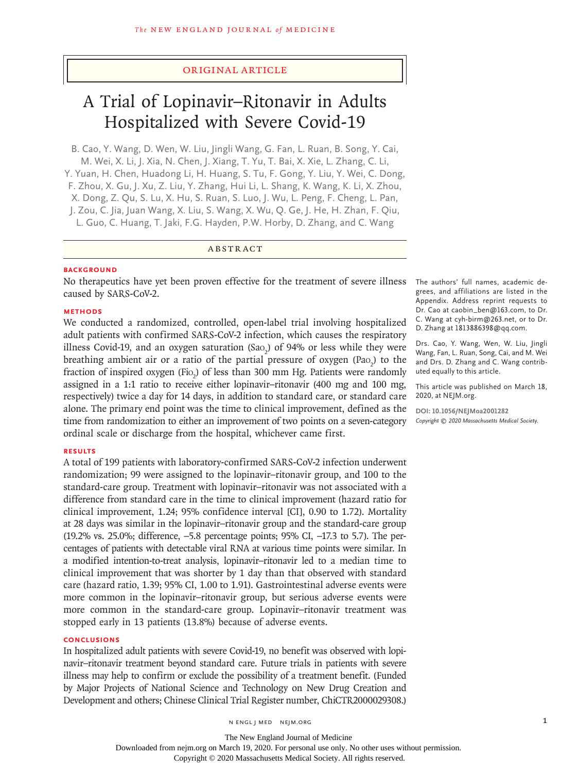# Original Article

# A Trial of Lopinavir–Ritonavir in Adults Hospitalized with Severe Covid-19

B. Cao, Y. Wang, D. Wen, W. Liu, Jingli Wang, G. Fan, L. Ruan, B. Song, Y. Cai, M. Wei, X. Li, J. Xia, N. Chen, J. Xiang, T. Yu, T. Bai, X. Xie, L. Zhang, C. Li, Y. Yuan, H. Chen, Huadong Li, H. Huang, S. Tu, F. Gong, Y. Liu, Y. Wei, C. Dong, F. Zhou, X. Gu, J. Xu, Z. Liu, Y. Zhang, Hui Li, L. Shang, K. Wang, K. Li, X. Zhou, X. Dong, Z. Qu, S. Lu, X. Hu, S. Ruan, S. Luo, J. Wu, L. Peng, F. Cheng, L. Pan, J. Zou, C. Jia, Juan Wang, X. Liu, S. Wang, X. Wu, Q. Ge, J. He, H. Zhan, F. Qiu, L. Guo, C. Huang, T. Jaki, F.G. Hayden, P.W. Horby, D. Zhang, and C. Wang

# ABSTRACT

# **BACKGROUND**

No therapeutics have yet been proven effective for the treatment of severe illness The authors' full names, academic decaused by SARS-CoV-2.

#### **METHODS**

We conducted a randomized, controlled, open-label trial involving hospitalized adult patients with confirmed SARS-CoV-2 infection, which causes the respiratory illness Covid-19, and an oxygen saturation  $(Sao<sub>2</sub>)$  of 94% or less while they were breathing ambient air or a ratio of the partial pressure of oxygen  $(Pao_2)$  to the fraction of inspired oxygen (Fio<sub>2</sub>) of less than 300 mm Hg. Patients were randomly assigned in a 1:1 ratio to receive either lopinavir–ritonavir (400 mg and 100 mg, respectively) twice a day for 14 days, in addition to standard care, or standard care alone. The primary end point was the time to clinical improvement, defined as the time from randomization to either an improvement of two points on a seven-category ordinal scale or discharge from the hospital, whichever came first.

# grees, and affiliations are listed in the Appendix. Address reprint requests to Dr. Cao at caobin\_ben@163.com, to Dr. C. Wang at cyh-birm@263.net, or to Dr. D. Zhang at 1813886398@qq.com.

Drs. Cao, Y. Wang, Wen, W. Liu, Jingli Wang, Fan, L. Ruan, Song, Cai, and M. Wei and Drs. D. Zhang and C. Wang contributed equally to this article.

This article was published on March 18, 2020, at NEJM.org.

**DOI: 10.1056/NEJMoa2001282** *Copyright © 2020 Massachusetts Medical Society.*

#### **RESULTS**

A total of 199 patients with laboratory-confirmed SARS-CoV-2 infection underwent randomization; 99 were assigned to the lopinavir–ritonavir group, and 100 to the standard-care group. Treatment with lopinavir–ritonavir was not associated with a difference from standard care in the time to clinical improvement (hazard ratio for clinical improvement, 1.24; 95% confidence interval [CI], 0.90 to 1.72). Mortality at 28 days was similar in the lopinavir–ritonavir group and the standard-care group (19.2% vs. 25.0%; difference, −5.8 percentage points; 95% CI, −17.3 to 5.7). The percentages of patients with detectable viral RNA at various time points were similar. In a modified intention-to-treat analysis, lopinavir–ritonavir led to a median time to clinical improvement that was shorter by 1 day than that observed with standard care (hazard ratio, 1.39; 95% CI, 1.00 to 1.91). Gastrointestinal adverse events were more common in the lopinavir–ritonavir group, but serious adverse events were more common in the standard-care group. Lopinavir–ritonavir treatment was stopped early in 13 patients (13.8%) because of adverse events.

# **CONCLUSIONS**

In hospitalized adult patients with severe Covid-19, no benefit was observed with lopinavir–ritonavir treatment beyond standard care. Future trials in patients with severe illness may help to confirm or exclude the possibility of a treatment benefit. (Funded by Major Projects of National Science and Technology on New Drug Creation and Development and others; Chinese Clinical Trial Register number, ChiCTR2000029308.)

n engl j med nejm.org 1

The New England Journal of Medicine Downloaded from nejm.org on March 19, 2020. For personal use only. No other uses without permission.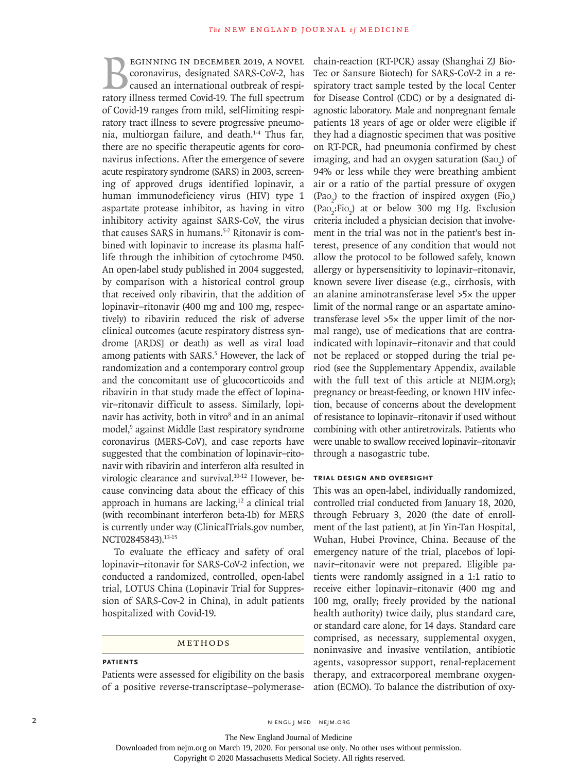BEGINNING IN DECEMBER 2019, A NOVEL<br>
coronavirus, designated SARS-CoV-2, has<br>
caused an international outbreak of respiratory<br>
ratory illness termed Covid-19. The full spectrum coronavirus, designated SARS-CoV-2, has caused an international outbreak of respiratory illness termed Covid-19. The full spectrum of Covid-19 ranges from mild, self-limiting respiratory tract illness to severe progressive pneumonia, multiorgan failure, and death.<sup>1-4</sup> Thus far, there are no specific therapeutic agents for coronavirus infections. After the emergence of severe acute respiratory syndrome (SARS) in 2003, screening of approved drugs identified lopinavir, a human immunodeficiency virus (HIV) type 1 aspartate protease inhibitor, as having in vitro inhibitory activity against SARS-CoV, the virus that causes SARS in humans.5-7 Ritonavir is combined with lopinavir to increase its plasma halflife through the inhibition of cytochrome P450. An open-label study published in 2004 suggested, by comparison with a historical control group that received only ribavirin, that the addition of lopinavir–ritonavir (400 mg and 100 mg, respectively) to ribavirin reduced the risk of adverse clinical outcomes (acute respiratory distress syndrome [ARDS] or death) as well as viral load among patients with SARS.<sup>5</sup> However, the lack of randomization and a contemporary control group and the concomitant use of glucocorticoids and ribavirin in that study made the effect of lopinavir–ritonavir difficult to assess. Similarly, lopinavir has activity, both in vitro<sup>8</sup> and in an animal model,9 against Middle East respiratory syndrome coronavirus (MERS-CoV), and case reports have suggested that the combination of lopinavir–ritonavir with ribavirin and interferon alfa resulted in virologic clearance and survival.<sup>10-12</sup> However, because convincing data about the efficacy of this approach in humans are lacking, $12$  a clinical trial (with recombinant interferon beta-1b) for MERS is currently under way (ClinicalTrials.gov number, NCT02845843).<sup>13-15</sup>

To evaluate the efficacy and safety of oral lopinavir–ritonavir for SARS-CoV-2 infection, we conducted a randomized, controlled, open-label trial, LOTUS China (Lopinavir Trial for Suppression of SARS-Cov-2 in China), in adult patients hospitalized with Covid-19.

# Methods

# **Patients**

Patients were assessed for eligibility on the basis of a positive reverse-transcriptase–polymerasechain-reaction (RT-PCR) assay (Shanghai ZJ Bio-Tec or Sansure Biotech) for SARS-CoV-2 in a respiratory tract sample tested by the local Center for Disease Control (CDC) or by a designated diagnostic laboratory. Male and nonpregnant female patients 18 years of age or older were eligible if they had a diagnostic specimen that was positive on RT-PCR, had pneumonia confirmed by chest imaging, and had an oxygen saturation (Sao<sub>2</sub>) of 94% or less while they were breathing ambient air or a ratio of the partial pressure of oxygen (Pao<sub>2</sub>) to the fraction of inspired oxygen (Fio<sub>2</sub>) (Pao<sub>2</sub>:Fio<sub>2</sub>) at or below 300 mg Hg. Exclusion criteria included a physician decision that involvement in the trial was not in the patient's best interest, presence of any condition that would not allow the protocol to be followed safely, known allergy or hypersensitivity to lopinavir–ritonavir, known severe liver disease (e.g., cirrhosis, with an alanine aminotransferase level >5× the upper limit of the normal range or an aspartate aminotransferase level >5× the upper limit of the normal range), use of medications that are contraindicated with lopinavir–ritonavir and that could not be replaced or stopped during the trial period (see the Supplementary Appendix, available with the full text of this article at NEJM.org); pregnancy or breast-feeding, or known HIV infection, because of concerns about the development of resistance to lopinavir–ritonavir if used without combining with other antiretrovirals. Patients who were unable to swallow received lopinavir–ritonavir through a nasogastric tube.

#### **Trial Design and Oversight**

This was an open-label, individually randomized, controlled trial conducted from January 18, 2020, through February 3, 2020 (the date of enrollment of the last patient), at Jin Yin-Tan Hospital, Wuhan, Hubei Province, China. Because of the emergency nature of the trial, placebos of lopinavir–ritonavir were not prepared. Eligible patients were randomly assigned in a 1:1 ratio to receive either lopinavir–ritonavir (400 mg and 100 mg, orally; freely provided by the national health authority) twice daily, plus standard care, or standard care alone, for 14 days. Standard care comprised, as necessary, supplemental oxygen, noninvasive and invasive ventilation, antibiotic agents, vasopressor support, renal-replacement therapy, and extracorporeal membrane oxygenation (ECMO). To balance the distribution of oxy-

The New England Journal of Medicine Downloaded from nejm.org on March 19, 2020. For personal use only. No other uses without permission.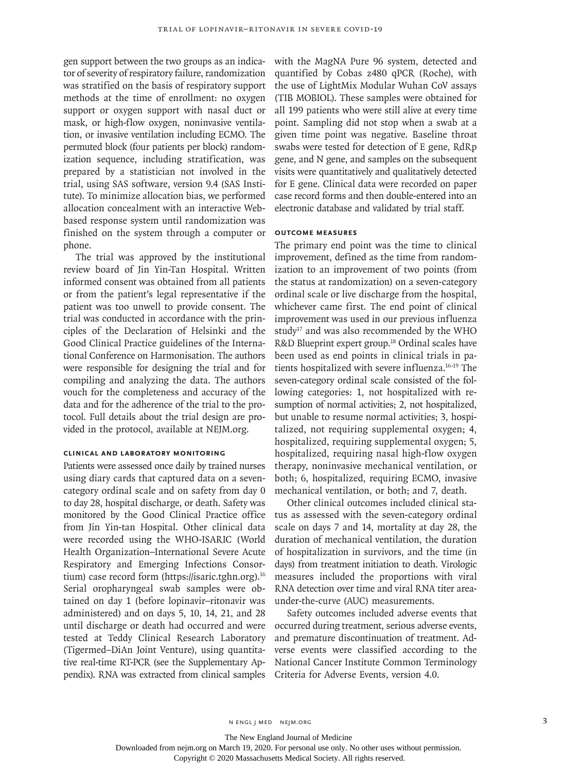gen support between the two groups as an indicator of severity of respiratory failure, randomization was stratified on the basis of respiratory support methods at the time of enrollment: no oxygen support or oxygen support with nasal duct or mask, or high-flow oxygen, noninvasive ventilation, or invasive ventilation including ECMO. The permuted block (four patients per block) randomization sequence, including stratification, was prepared by a statistician not involved in the trial, using SAS software, version 9.4 (SAS Institute). To minimize allocation bias, we performed allocation concealment with an interactive Webbased response system until randomization was finished on the system through a computer or phone.

The trial was approved by the institutional review board of Jin Yin-Tan Hospital. Written informed consent was obtained from all patients or from the patient's legal representative if the patient was too unwell to provide consent. The trial was conducted in accordance with the principles of the Declaration of Helsinki and the Good Clinical Practice guidelines of the International Conference on Harmonisation. The authors were responsible for designing the trial and for compiling and analyzing the data. The authors vouch for the completeness and accuracy of the data and for the adherence of the trial to the protocol. Full details about the trial design are provided in the protocol, available at NEJM.org.

# **Clinical and Laboratory Monitoring**

Patients were assessed once daily by trained nurses using diary cards that captured data on a sevencategory ordinal scale and on safety from day 0 to day 28, hospital discharge, or death. Safety was monitored by the Good Clinical Practice office from Jin Yin-tan Hospital. Other clinical data were recorded using the WHO-ISARIC (World Health Organization–International Severe Acute Respiratory and Emerging Infections Consortium) case record form (https://isaric.tghn.org).<sup>16</sup> Serial oropharyngeal swab samples were obtained on day 1 (before lopinavir–ritonavir was administered) and on days 5, 10, 14, 21, and 28 until discharge or death had occurred and were tested at Teddy Clinical Research Laboratory (Tigermed–DiAn Joint Venture), using quantitative real-time RT-PCR (see the Supplementary Appendix). RNA was extracted from clinical samples with the MagNA Pure 96 system, detected and quantified by Cobas z480 qPCR (Roche), with the use of LightMix Modular Wuhan CoV assays (TIB MOBIOL). These samples were obtained for all 199 patients who were still alive at every time point. Sampling did not stop when a swab at a given time point was negative. Baseline throat swabs were tested for detection of E gene, RdRp gene, and N gene, and samples on the subsequent visits were quantitatively and qualitatively detected for E gene. Clinical data were recorded on paper case record forms and then double-entered into an electronic database and validated by trial staff.

# **Outcome Measures**

The primary end point was the time to clinical improvement, defined as the time from randomization to an improvement of two points (from the status at randomization) on a seven-category ordinal scale or live discharge from the hospital, whichever came first. The end point of clinical improvement was used in our previous influenza study<sup>17</sup> and was also recommended by the WHO R&D Blueprint expert group.<sup>18</sup> Ordinal scales have been used as end points in clinical trials in patients hospitalized with severe influenza.16-19 The seven-category ordinal scale consisted of the following categories: 1, not hospitalized with resumption of normal activities; 2, not hospitalized, but unable to resume normal activities; 3, hospitalized, not requiring supplemental oxygen; 4, hospitalized, requiring supplemental oxygen; 5, hospitalized, requiring nasal high-flow oxygen therapy, noninvasive mechanical ventilation, or both; 6, hospitalized, requiring ECMO, invasive mechanical ventilation, or both; and 7, death.

Other clinical outcomes included clinical status as assessed with the seven-category ordinal scale on days 7 and 14, mortality at day 28, the duration of mechanical ventilation, the duration of hospitalization in survivors, and the time (in days) from treatment initiation to death. Virologic measures included the proportions with viral RNA detection over time and viral RNA titer areaunder-the-curve (AUC) measurements.

Safety outcomes included adverse events that occurred during treatment, serious adverse events, and premature discontinuation of treatment. Adverse events were classified according to the National Cancer Institute Common Terminology Criteria for Adverse Events, version 4.0.

The New England Journal of Medicine

Downloaded from nejm.org on March 19, 2020. For personal use only. No other uses without permission.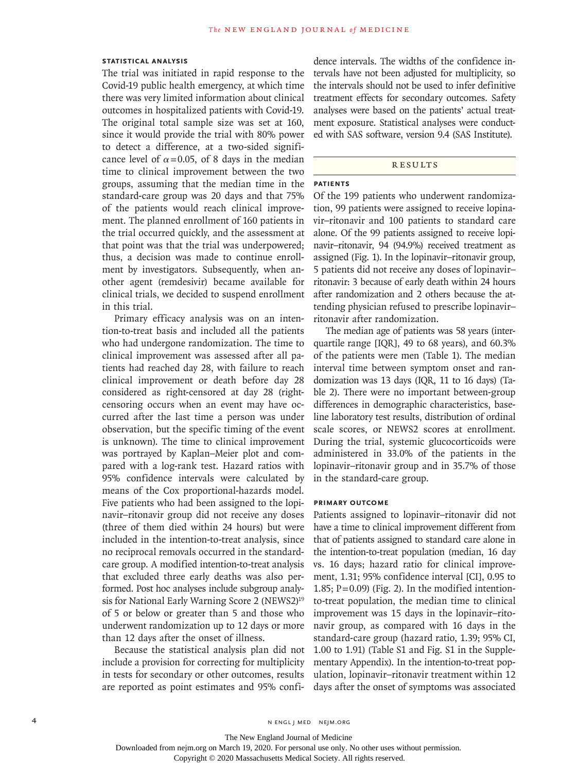## **Statistical Analysis**

The trial was initiated in rapid response to the Covid-19 public health emergency, at which time there was very limited information about clinical outcomes in hospitalized patients with Covid-19. The original total sample size was set at 160, since it would provide the trial with 80% power to detect a difference, at a two-sided significance level of  $\alpha$ =0.05, of 8 days in the median time to clinical improvement between the two groups, assuming that the median time in the standard-care group was 20 days and that 75% of the patients would reach clinical improvement. The planned enrollment of 160 patients in the trial occurred quickly, and the assessment at that point was that the trial was underpowered; thus, a decision was made to continue enrollment by investigators. Subsequently, when another agent (remdesivir) became available for clinical trials, we decided to suspend enrollment in this trial.

Primary efficacy analysis was on an intention-to-treat basis and included all the patients who had undergone randomization. The time to clinical improvement was assessed after all patients had reached day 28, with failure to reach clinical improvement or death before day 28 considered as right-censored at day 28 (rightcensoring occurs when an event may have occurred after the last time a person was under observation, but the specific timing of the event is unknown). The time to clinical improvement was portrayed by Kaplan–Meier plot and compared with a log-rank test. Hazard ratios with 95% confidence intervals were calculated by means of the Cox proportional-hazards model. Five patients who had been assigned to the lopinavir–ritonavir group did not receive any doses (three of them died within 24 hours) but were included in the intention-to-treat analysis, since no reciprocal removals occurred in the standardcare group. A modified intention-to-treat analysis that excluded three early deaths was also performed. Post hoc analyses include subgroup analysis for National Early Warning Score 2 (NEWS2)<sup>19</sup> of 5 or below or greater than 5 and those who underwent randomization up to 12 days or more than 12 days after the onset of illness.

Because the statistical analysis plan did not include a provision for correcting for multiplicity in tests for secondary or other outcomes, results are reported as point estimates and 95% confidence intervals. The widths of the confidence intervals have not been adjusted for multiplicity, so the intervals should not be used to infer definitive treatment effects for secondary outcomes. Safety analyses were based on the patients' actual treatment exposure. Statistical analyses were conducted with SAS software, version 9.4 (SAS Institute).

# Results

# **Patients**

Of the 199 patients who underwent randomization, 99 patients were assigned to receive lopinavir–ritonavir and 100 patients to standard care alone. Of the 99 patients assigned to receive lopinavir–ritonavir, 94 (94.9%) received treatment as assigned (Fig. 1). In the lopinavir–ritonavir group, 5 patients did not receive any doses of lopinavir– ritonavir: 3 because of early death within 24 hours after randomization and 2 others because the attending physician refused to prescribe lopinavir– ritonavir after randomization.

The median age of patients was 58 years (interquartile range [IQR], 49 to 68 years), and 60.3% of the patients were men (Table 1). The median interval time between symptom onset and randomization was 13 days (IQR, 11 to 16 days) (Table 2). There were no important between-group differences in demographic characteristics, baseline laboratory test results, distribution of ordinal scale scores, or NEWS2 scores at enrollment. During the trial, systemic glucocorticoids were administered in 33.0% of the patients in the lopinavir–ritonavir group and in 35.7% of those in the standard-care group.

#### **Primary Outcome**

Patients assigned to lopinavir–ritonavir did not have a time to clinical improvement different from that of patients assigned to standard care alone in the intention-to-treat population (median, 16 day vs. 16 days; hazard ratio for clinical improvement, 1.31; 95% confidence interval [CI], 0.95 to 1.85;  $P=0.09$ ) (Fig. 2). In the modified intentionto-treat population, the median time to clinical improvement was 15 days in the lopinavir–ritonavir group, as compared with 16 days in the standard-care group (hazard ratio, 1.39; 95% CI, 1.00 to 1.91) (Table S1 and Fig. S1 in the Supplementary Appendix). In the intention-to-treat population, lopinavir–ritonavir treatment within 12 days after the onset of symptoms was associated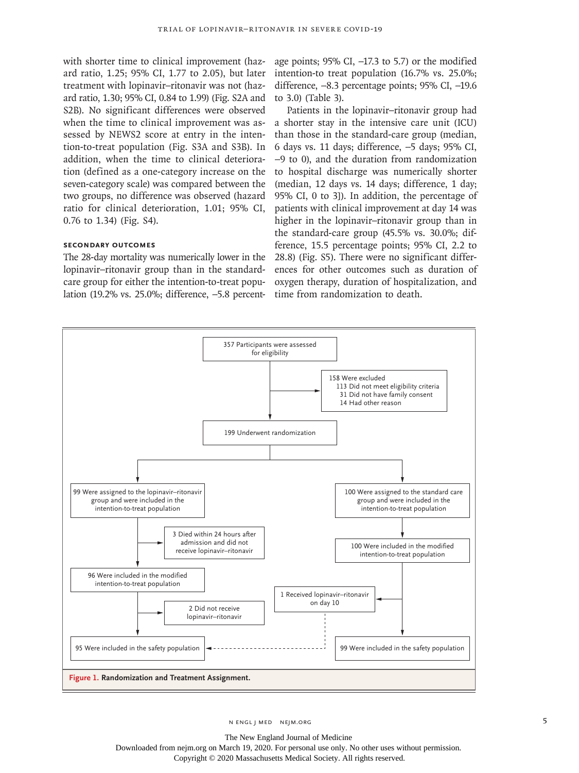with shorter time to clinical improvement (hazard ratio, 1.25; 95% CI, 1.77 to 2.05), but later treatment with lopinavir–ritonavir was not (hazard ratio, 1.30; 95% CI, 0.84 to 1.99) (Fig. S2A and S2B). No significant differences were observed when the time to clinical improvement was assessed by NEWS2 score at entry in the intention-to-treat population (Fig. S3A and S3B). In addition, when the time to clinical deterioration (defined as a one-category increase on the seven-category scale) was compared between the two groups, no difference was observed (hazard ratio for clinical deterioration, 1.01; 95% CI, 0.76 to 1.34) (Fig. S4).

# **Secondary Outcomes**

The 28-day mortality was numerically lower in the lopinavir–ritonavir group than in the standardcare group for either the intention-to-treat population (19.2% vs. 25.0%; difference, −5.8 percentage points; 95% CI, −17.3 to 5.7) or the modified intention-to treat population (16.7% vs. 25.0%; difference, −8.3 percentage points; 95% CI, −19.6 to 3.0) (Table 3).

Patients in the lopinavir–ritonavir group had a shorter stay in the intensive care unit (ICU) than those in the standard-care group (median, 6 days vs. 11 days; difference, −5 days; 95% CI, −9 to 0), and the duration from randomization to hospital discharge was numerically shorter (median, 12 days vs. 14 days; difference, 1 day; 95% CI, 0 to 3]). In addition, the percentage of patients with clinical improvement at day 14 was higher in the lopinavir–ritonavir group than in the standard-care group (45.5% vs. 30.0%; difference, 15.5 percentage points; 95% CI, 2.2 to 28.8) (Fig. S5). There were no significant differences for other outcomes such as duration of oxygen therapy, duration of hospitalization, and time from randomization to death.



The New England Journal of Medicine Downloaded from nejm.org on March 19, 2020. For personal use only. No other uses without permission. Copyright © 2020 Massachusetts Medical Society. All rights reserved.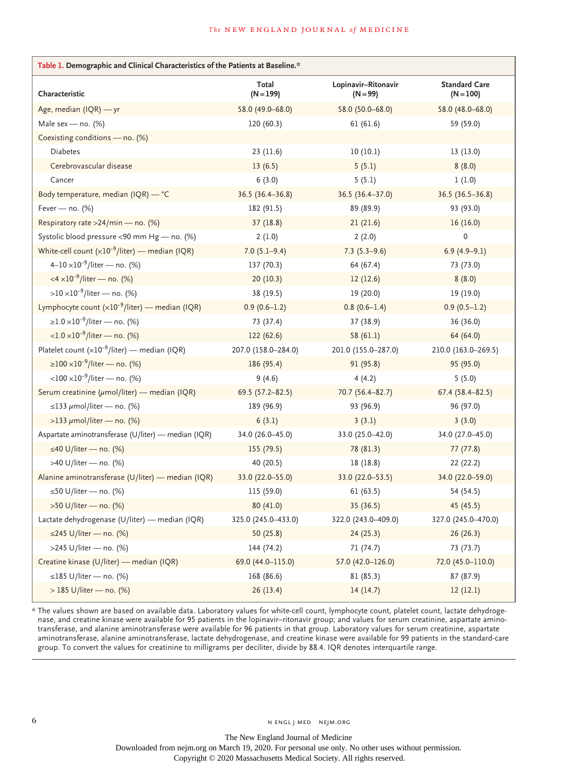# **The NEW ENGLAND JOURNAL of MEDICINE**

| Table 1. Demographic and Clinical Characteristics of the Patients at Baseline.* |                      |                                   |                                     |  |  |
|---------------------------------------------------------------------------------|----------------------|-----------------------------------|-------------------------------------|--|--|
| Characteristic                                                                  | Total<br>$(N = 199)$ | Lopinavir-Ritonavir<br>$(N = 99)$ | <b>Standard Care</b><br>$(N = 100)$ |  |  |
| Age, median (IQR) - yr                                                          | 58.0 (49.0-68.0)     | 58.0 (50.0-68.0)                  | 58.0 (48.0-68.0)                    |  |  |
| Male sex - no. $(%)$                                                            | 120(60.3)            | 61(61.6)                          | 59 (59.0)                           |  |  |
| Coexisting conditions - no. (%)                                                 |                      |                                   |                                     |  |  |
| Diabetes                                                                        | 23(11.6)             | 10(10.1)                          | 13(13.0)                            |  |  |
| Cerebrovascular disease                                                         | 13(6.5)              | 5(5.1)                            | 8(8.0)                              |  |  |
| Cancer                                                                          | 6(3.0)               | 5(5.1)                            | 1(1.0)                              |  |  |
| Body temperature, median (IQR) - °C                                             | $36.5(36.4 - 36.8)$  | 36.5 (36.4-37.0)                  | $36.5(36.5-36.8)$                   |  |  |
| Fever - no. $(\%)$                                                              | 182 (91.5)           | 89 (89.9)                         | 93 (93.0)                           |  |  |
| Respiratory rate >24/min - no. (%)                                              | 37(18.8)             | 21(21.6)                          | 16(16.0)                            |  |  |
| Systolic blood pressure <90 mm Hg - no. (%)                                     | 2(1.0)               | 2(2.0)                            | 0                                   |  |  |
| White-cell count $(x10^{-9}/$ liter) — median (IQR)                             | $7.0(5.1-9.4)$       | $7.3(5.3-9.6)$                    | $6.9(4.9-9.1)$                      |  |  |
| $4-10 \times 10^{-9}$ /liter — no. (%)                                          | 137 (70.3)           | 64 (67.4)                         | 73 (73.0)                           |  |  |
| <4 $\times$ 10 <sup>-9</sup> /liter — no. (%)                                   | 20(10.3)             | 12(12.6)                          | 8(8.0)                              |  |  |
| > $10 \times 10^{-9}$ /liter — no. (%)                                          | 38 (19.5)            | 19 (20.0)                         | 19 (19.0)                           |  |  |
| Lymphocyte count $(x10^{-9}/$ liter) — median (IQR)                             | $0.9(0.6-1.2)$       | $0.8(0.6-1.4)$                    | $0.9(0.5-1.2)$                      |  |  |
| ≥1.0×10 <sup>-9</sup> /liter — no. (%)                                          | 73 (37.4)            | 37 (38.9)                         | 36 (36.0)                           |  |  |
| $<$ 1.0 $\times$ 10 <sup>-9</sup> /liter — no. (%)                              | 122(62.6)            | 58(61.1)                          | 64 (64.0)                           |  |  |
| Platelet count $(x10^{-9}/$ liter) — median (IQR)                               | 207.0 (158.0-284.0)  | 201.0 (155.0-287.0)               | 210.0 (163.0-269.5)                 |  |  |
| ≥100 ×10 <sup>-9</sup> /liter — no. (%)                                         | 186 (95.4)           | 91(95.8)                          | 95 (95.0)                           |  |  |
| $<$ 100 $\times$ 10 <sup>-9</sup> /liter — no. (%)                              | 9(4.6)               | 4(4.2)                            | 5(5.0)                              |  |  |
| Serum creatinine (µmol/liter) — median (IQR)                                    | 69.5 $(57.2 - 82.5)$ | 70.7 (56.4-82.7)                  | $67.4(58.4 - 82.5)$                 |  |  |
| $\leq$ 133 µmol/liter — no. (%)                                                 | 189 (96.9)           | 93 (96.9)                         | 96 (97.0)                           |  |  |
| >133 $\mu$ mol/liter — no. (%)                                                  | 6(3.1)               | 3(3.1)                            | 3(3.0)                              |  |  |
| Aspartate aminotransferase (U/liter) — median (IQR)                             | 34.0 (26.0-45.0)     | 33.0 (25.0-42.0)                  | 34.0 (27.0-45.0)                    |  |  |
| $\leq$ 40 U/liter — no. (%)                                                     | 155 (79.5)           | 78 (81.3)                         | 77 (77.8)                           |  |  |
| >40 U/liter - no. (%)                                                           | 40 (20.5)            | 18 (18.8)                         | 22(22.2)                            |  |  |
| Alanine aminotransferase (U/liter) — median (IQR)                               | 33.0 (22.0-55.0)     | 33.0 (22.0-53.5)                  | 34.0 (22.0-59.0)                    |  |  |
| $\leq$ 50 U/liter — no. (%)                                                     | 115 (59.0)           | 61(63.5)                          | 54 (54.5)                           |  |  |
| >50 U/liter - no. (%)                                                           | 80 (41.0)            | 35(36.5)                          | 45 (45.5)                           |  |  |
| Lactate dehydrogenase (U/liter) — median (IQR)                                  | 325.0 (245.0-433.0)  | 322.0 (243.0-409.0)               | 327.0 (245.0-470.0)                 |  |  |
| $\leq$ 245 U/liter — no. (%)                                                    | 50(25.8)             | 24 (25.3)                         | 26(26.3)                            |  |  |
| >245 U/liter - no. (%)                                                          | 144 (74.2)           | 71 (74.7)                         | 73 (73.7)                           |  |  |
| Creatine kinase (U/liter) — median (IQR)                                        | 69.0 (44.0-115.0)    | 57.0 (42.0-126.0)                 | 72.0 (45.0-110.0)                   |  |  |
| $\leq$ 185 U/liter — no. (%)                                                    | 168 (86.6)           | 81 (85.3)                         | 87 (87.9)                           |  |  |
| > 185 U/liter - no. (%)                                                         | 26(13.4)             | 14(14.7)                          | 12(12.1)                            |  |  |

\* The values shown are based on available data. Laboratory values for white-cell count, lymphocyte count, platelet count, lactate dehydrogenase, and creatine kinase were available for 95 patients in the lopinavir–ritonavir group; and values for serum creatinine, aspartate aminotransferase, and alanine aminotransferase were available for 96 patients in that group. Laboratory values for serum creatinine, aspartate aminotransferase, alanine aminotransferase, lactate dehydrogenase, and creatine kinase were available for 99 patients in the standard-care group. To convert the values for creatinine to milligrams per deciliter, divide by 88.4. IQR denotes interquartile range.

The New England Journal of Medicine Downloaded from nejm.org on March 19, 2020. For personal use only. No other uses without permission. Copyright © 2020 Massachusetts Medical Society. All rights reserved.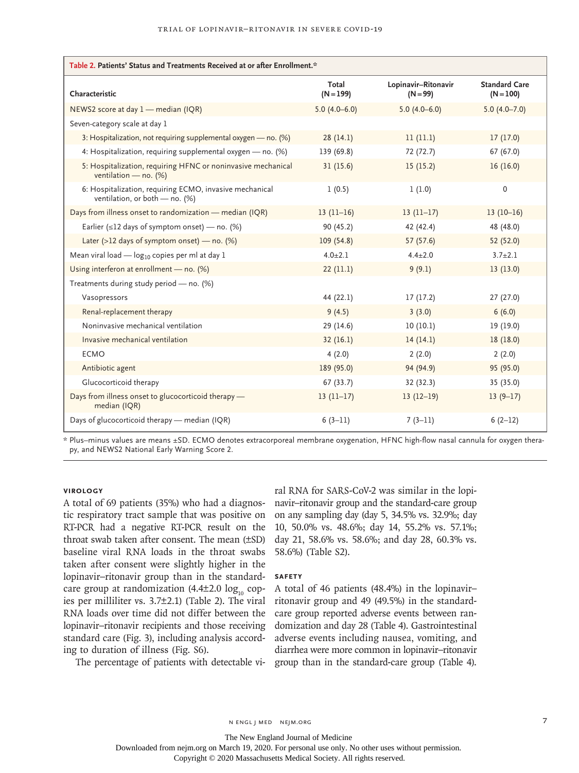| Table 2. Patients' Status and Treatments Received at or after Enrollment.*                |                      |                                   |                                     |  |  |  |
|-------------------------------------------------------------------------------------------|----------------------|-----------------------------------|-------------------------------------|--|--|--|
| Characteristic                                                                            | Total<br>$(N = 199)$ | Lopinavir-Ritonavir<br>$(N = 99)$ | <b>Standard Care</b><br>$(N = 100)$ |  |  |  |
| NEWS2 score at day 1 - median (IQR)                                                       | $5.0(4.0-6.0)$       | $5.0(4.0-6.0)$                    | $5.0(4.0 - 7.0)$                    |  |  |  |
| Seven-category scale at day 1                                                             |                      |                                   |                                     |  |  |  |
| 3: Hospitalization, not requiring supplemental oxygen - no. (%)                           | 28(14.1)             | 11(11.1)                          | 17(17.0)                            |  |  |  |
| 4: Hospitalization, requiring supplemental oxygen - no. (%)                               | 139 (69.8)           | 72 (72.7)                         | 67 (67.0)                           |  |  |  |
| 5: Hospitalization, requiring HFNC or noninvasive mechanical<br>ventilation - no. (%)     | 31(15.6)             | 15(15.2)                          | 16(16.0)                            |  |  |  |
| 6: Hospitalization, requiring ECMO, invasive mechanical<br>ventilation, or both - no. (%) | 1(0.5)               | 1(1.0)                            | $\mathbf 0$                         |  |  |  |
| Days from illness onset to randomization - median (IQR)                                   | $13(11-16)$          | $13(11-17)$                       | $13(10-16)$                         |  |  |  |
| Earlier ( $\leq$ 12 days of symptom onset) — no. (%)                                      | 90 (45.2)            | 42 (42.4)                         | 48 (48.0)                           |  |  |  |
| Later (>12 days of symptom onset) - no. (%)                                               | 109(54.8)            | 57(57.6)                          | 52 (52.0)                           |  |  |  |
| Mean viral load - log <sub>10</sub> copies per ml at day 1                                | $4.0 \pm 2.1$        | $4.4 \pm 2.0$                     | $3.7 \pm 2.1$                       |  |  |  |
| Using interferon at enrollment - no. (%)                                                  | 22(11.1)             | 9(9.1)                            | 13(13.0)                            |  |  |  |
| Treatments during study period - no. (%)                                                  |                      |                                   |                                     |  |  |  |
| Vasopressors                                                                              | 44 (22.1)            | 17(17.2)                          | 27(27.0)                            |  |  |  |
| Renal-replacement therapy                                                                 | 9(4.5)               | 3(3.0)                            | 6(6.0)                              |  |  |  |
| Noninvasive mechanical ventilation                                                        | 29 (14.6)            | 10(10.1)                          | 19 (19.0)                           |  |  |  |
| Invasive mechanical ventilation                                                           | 32(16.1)             | 14(14.1)                          | 18(18.0)                            |  |  |  |
| <b>ECMO</b>                                                                               | 4(2.0)               | 2(2.0)                            | 2(2.0)                              |  |  |  |
| Antibiotic agent                                                                          | 189 (95.0)           | 94 (94.9)                         | 95 (95.0)                           |  |  |  |
| Glucocorticoid therapy                                                                    | 67(33.7)             | 32(32.3)                          | 35 (35.0)                           |  |  |  |
| Days from illness onset to glucocorticoid therapy -<br>median (IQR)                       | $13(11-17)$          | $13(12-19)$                       | $13(9-17)$                          |  |  |  |
| Days of glucocorticoid therapy - median (IQR)                                             | $6(3-11)$            | $7(3-11)$                         | $6(2-12)$                           |  |  |  |

\* Plus–minus values are means ±SD. ECMO denotes extracorporeal membrane oxygenation, HFNC high-flow nasal cannula for oxygen therapy, and NEWS2 National Early Warning Score 2.

# **Virology**

A total of 69 patients (35%) who had a diagnostic respiratory tract sample that was positive on RT-PCR had a negative RT-PCR result on the throat swab taken after consent. The mean (±SD) baseline viral RNA loads in the throat swabs taken after consent were slightly higher in the lopinavir–ritonavir group than in the standardcare group at randomization  $(4.4\pm2.0 \text{ log}_{10} \text{ cop}$ ies per milliliter vs. 3.7±2.1) (Table 2). The viral RNA loads over time did not differ between the lopinavir–ritonavir recipients and those receiving standard care (Fig. 3), including analysis according to duration of illness (Fig. S6).

The percentage of patients with detectable vi-

ral RNA for SARS-CoV-2 was similar in the lopinavir–ritonavir group and the standard-care group on any sampling day (day 5, 34.5% vs. 32.9%; day 10, 50.0% vs. 48.6%; day 14, 55.2% vs. 57.1%; day 21, 58.6% vs. 58.6%; and day 28, 60.3% vs. 58.6%) (Table S2).

#### **Safety**

A total of 46 patients (48.4%) in the lopinavir– ritonavir group and 49 (49.5%) in the standardcare group reported adverse events between randomization and day 28 (Table 4). Gastrointestinal adverse events including nausea, vomiting, and diarrhea were more common in lopinavir–ritonavir group than in the standard-care group (Table 4).

The New England Journal of Medicine

Downloaded from nejm.org on March 19, 2020. For personal use only. No other uses without permission.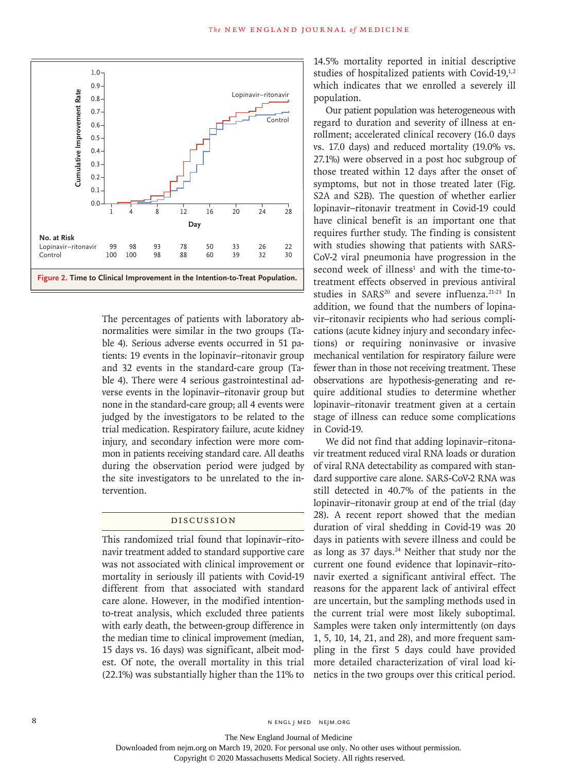

The percentages of patients with laboratory abnormalities were similar in the two groups (Table 4). Serious adverse events occurred in 51 patients: 19 events in the lopinavir–ritonavir group and 32 events in the standard-care group (Table 4). There were 4 serious gastrointestinal adverse events in the lopinavir–ritonavir group but none in the standard-care group; all 4 events were judged by the investigators to be related to the trial medication. Respiratory failure, acute kidney injury, and secondary infection were more common in patients receiving standard care. All deaths during the observation period were judged by the site investigators to be unrelated to the intervention.

# Discussion

This randomized trial found that lopinavir–ritonavir treatment added to standard supportive care was not associated with clinical improvement or mortality in seriously ill patients with Covid-19 different from that associated with standard care alone. However, in the modified intentionto-treat analysis, which excluded three patients with early death, the between-group difference in the median time to clinical improvement (median, 15 days vs. 16 days) was significant, albeit modest. Of note, the overall mortality in this trial (22.1%) was substantially higher than the 11% to 14.5% mortality reported in initial descriptive studies of hospitalized patients with Covid-19,<sup>1,2</sup> which indicates that we enrolled a severely ill population.

Our patient population was heterogeneous with regard to duration and severity of illness at enrollment; accelerated clinical recovery (16.0 days vs. 17.0 days) and reduced mortality (19.0% vs. 27.1%) were observed in a post hoc subgroup of those treated within 12 days after the onset of symptoms, but not in those treated later (Fig. S2A and S2B). The question of whether earlier lopinavir–ritonavir treatment in Covid-19 could have clinical benefit is an important one that requires further study. The finding is consistent with studies showing that patients with SARS-CoV-2 viral pneumonia have progression in the second week of illness<sup>1</sup> and with the time-totreatment effects observed in previous antiviral studies in SARS<sup>20</sup> and severe influenza.<sup>21-23</sup> In addition, we found that the numbers of lopinavir–ritonavir recipients who had serious complications (acute kidney injury and secondary infections) or requiring noninvasive or invasive mechanical ventilation for respiratory failure were fewer than in those not receiving treatment. These observations are hypothesis-generating and require additional studies to determine whether lopinavir–ritonavir treatment given at a certain stage of illness can reduce some complications in Covid-19.

We did not find that adding lopinavir–ritonavir treatment reduced viral RNA loads or duration of viral RNA detectability as compared with standard supportive care alone. SARS-CoV-2 RNA was still detected in 40.7% of the patients in the lopinavir–ritonavir group at end of the trial (day 28). A recent report showed that the median duration of viral shedding in Covid-19 was 20 days in patients with severe illness and could be as long as 37 days.<sup>24</sup> Neither that study nor the current one found evidence that lopinavir–ritonavir exerted a significant antiviral effect. The reasons for the apparent lack of antiviral effect are uncertain, but the sampling methods used in the current trial were most likely suboptimal. Samples were taken only intermittently (on days 1, 5, 10, 14, 21, and 28), and more frequent sampling in the first 5 days could have provided more detailed characterization of viral load kinetics in the two groups over this critical period.

The New England Journal of Medicine

Downloaded from nejm.org on March 19, 2020. For personal use only. No other uses without permission.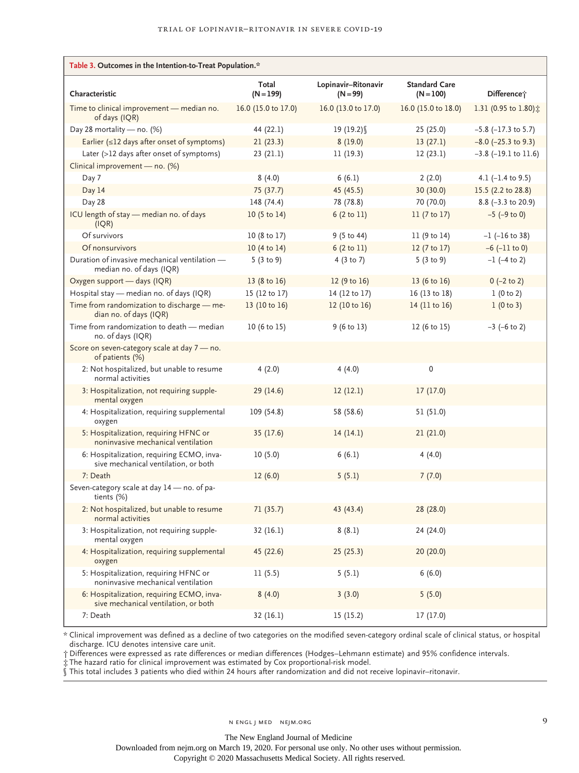| Table 3. Outcomes in the Intention-to-Treat Population.*                          |                      |                                   |                                     |                              |  |
|-----------------------------------------------------------------------------------|----------------------|-----------------------------------|-------------------------------------|------------------------------|--|
| Characteristic                                                                    | Total<br>$(N = 199)$ | Lopinavir-Ritonavir<br>$(N = 99)$ | <b>Standard Care</b><br>$(N = 100)$ | Difference;                  |  |
| Time to clinical improvement - median no.<br>of days (IQR)                        | 16.0 (15.0 to 17.0)  | 16.0 (13.0 to 17.0)               | 16.0 (15.0 to 18.0)                 | 1.31 (0.95 to 1.80) ±        |  |
| Day 28 mortality - no. (%)                                                        | 44 (22.1)            | 19 (19.2) \                       | 25(25.0)                            | $-5.8$ ( $-17.3$ to 5.7)     |  |
| Earlier $(\leq 12 \text{ days after onset of symptoms})$                          | 21(23.3)             | 8(19.0)                           | 13(27.1)                            | $-8.0$ ( $-25.3$ to 9.3)     |  |
| Later (>12 days after onset of symptoms)                                          | 23(21.1)             | 11(19.3)                          | 12(23.1)                            | $-3.8$ ( $-19.1$ to $11.6$ ) |  |
| Clinical improvement - no. (%)                                                    |                      |                                   |                                     |                              |  |
| Day 7                                                                             | 8(4.0)               | 6(6.1)                            | 2(2.0)                              | 4.1 $(-1.4 \text{ to } 9.5)$ |  |
| Day 14                                                                            | 75 (37.7)            | 45 (45.5)                         | 30 (30.0)                           | 15.5 (2.2 to 28.8)           |  |
| Day 28                                                                            | 148 (74.4)           | 78 (78.8)                         | 70 (70.0)                           | $8.8$ (-3.3 to 20.9)         |  |
| ICU length of stay - median no. of days<br>(IQR)                                  | 10(5 to 14)          | 6 (2 to 11)                       | 11(7 to 17)                         | $-5$ ( $-9$ to 0)            |  |
| Of survivors                                                                      | 10 (8 to 17)         | 9 (5 to 44)                       | 11 (9 to 14)                        | $-1$ ( $-16$ to 38)          |  |
| Of nonsurvivors                                                                   | 10 (4 to 14)         | 6 (2 to 11)                       | 12 (7 to 17)                        | $-6$ ( $-11$ to 0)           |  |
| Duration of invasive mechanical ventilation -<br>median no. of days (IQR)         | 5(3 to 9)            | 4 $(3 to 7)$                      | 5(3 to 9)                           | $-1$ (-4 to 2)               |  |
| Oxygen support - days (IQR)                                                       | 13 (8 to 16)         | 12 (9 to 16)                      | 13 (6 to 16)                        | $0$ (-2 to 2)                |  |
| Hospital stay - median no. of days (IQR)                                          | 15 (12 to 17)        | 14 (12 to 17)                     | 16 (13 to 18)                       | 1(0 to 2)                    |  |
| Time from randomization to discharge - me-<br>dian no. of days (IQR)              | 13 (10 to 16)        | 12 (10 to 16)                     | 14 (11 to 16)                       | 1(0 to 3)                    |  |
| Time from randomization to death - median<br>no. of days (IQR)                    | 10 (6 to 15)         | $9(6 \text{ to } 13)$             | 12 (6 to 15)                        | $-3$ (-6 to 2)               |  |
| Score on seven-category scale at day 7 - no.<br>of patients (%)                   |                      |                                   |                                     |                              |  |
| 2: Not hospitalized, but unable to resume<br>normal activities                    | 4(2.0)               | 4(4.0)                            | 0                                   |                              |  |
| 3: Hospitalization, not requiring supple-<br>mental oxygen                        | 29(14.6)             | 12(12.1)                          | 17(17.0)                            |                              |  |
| 4: Hospitalization, requiring supplemental<br>oxygen                              | 109 (54.8)           | 58 (58.6)                         | 51 (51.0)                           |                              |  |
| 5: Hospitalization, requiring HFNC or<br>noninvasive mechanical ventilation       | 35(17.6)             | 14(14.1)                          | 21(21.0)                            |                              |  |
| 6: Hospitalization, requiring ECMO, inva-<br>sive mechanical ventilation, or both | 10(5.0)              | 6(6.1)                            | 4(4.0)                              |                              |  |
| 7: Death                                                                          | 12(6.0)              | 5(5.1)                            | 7(7.0)                              |                              |  |
| Seven-category scale at day 14 - no. of pa-<br>tients $(\%)$                      |                      |                                   |                                     |                              |  |
| 2: Not hospitalized, but unable to resume<br>normal activities                    | 71 (35.7)            | 43 (43.4)                         | 28 (28.0)                           |                              |  |
| 3: Hospitalization, not requiring supple-<br>mental oxygen                        | 32(16.1)             | 8(8.1)                            | 24 (24.0)                           |                              |  |
| 4: Hospitalization, requiring supplemental<br>oxygen                              | 45 (22.6)            | 25(25.3)                          | 20 (20.0)                           |                              |  |
| 5: Hospitalization, requiring HFNC or<br>noninvasive mechanical ventilation       | 11(5.5)              | 5(5.1)                            | 6(6.0)                              |                              |  |
| 6: Hospitalization, requiring ECMO, inva-<br>sive mechanical ventilation, or both | 8(4.0)               | 3(3.0)                            | 5(5.0)                              |                              |  |
| 7: Death                                                                          | 32(16.1)             | 15 (15.2)                         | 17(17.0)                            |                              |  |

\* Clinical improvement was defined as a decline of two categories on the modified seven-category ordinal scale of clinical status, or hospital discharge. ICU denotes intensive care unit.

† Differences were expressed as rate differences or median differences (Hodges–Lehmann estimate) and 95% confidence intervals.

‡ The hazard ratio for clinical improvement was estimated by Cox proportional-risk model.

§ This total includes 3 patients who died within 24 hours after randomization and did not receive lopinavir–ritonavir.

The New England Journal of Medicine

Downloaded from nejm.org on March 19, 2020. For personal use only. No other uses without permission.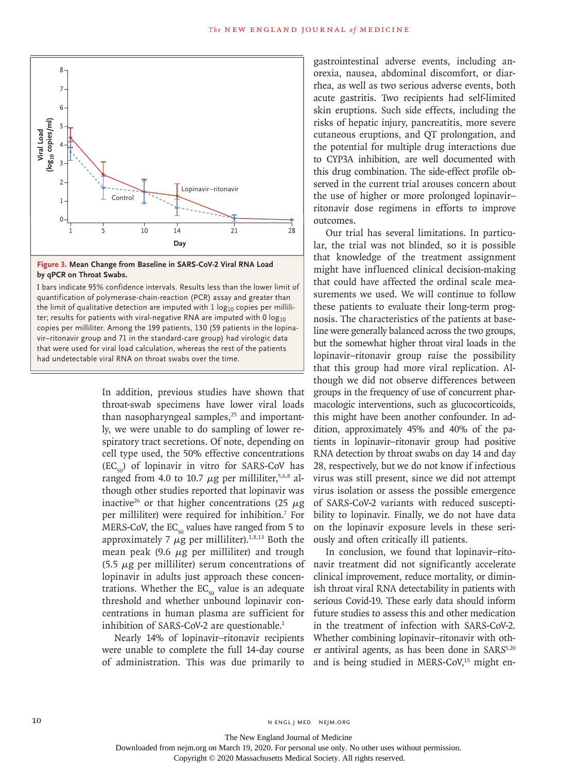

# **Figure 3. Mean Change from Baseline in SARS-CoV-2 Viral RNA Load by qPCR on Throat Swabs.**

I bars indicate 95% confidence intervals. Results less than the lower limit of quantification of polymerase-chain-reaction (PCR) assay and greater than the limit of qualitative detection are imputed with  $1 \log_{10}$  copies per milliliter; results for patients with viral-negative RNA are imputed with 0  $log_{10}$ copies per milliliter. Among the 199 patients, 130 (59 patients in the lopinavir–ritonavir group and 71 in the standard-care group) had virologic data that were used for viral load calculation, whereas the rest of the patients

> In addition, previous studies have shown that throat-swab specimens have lower viral loads than nasopharyngeal samples, $25$  and importantly, we were unable to do sampling of lower respiratory tract secretions. Of note, depending on cell type used, the 50% effective concentrations  $(EC_{\epsilon_0})$  of lopinavir in vitro for SARS-CoV has ranged from 4.0 to 10.7  $\mu$ g per milliliter,<sup>5,6,8</sup> although other studies reported that lopinavir was inactive<sup>26</sup> or that higher concentrations (25  $\mu$ g per milliliter) were required for inhibition.<sup>7</sup> For MERS-CoV, the  $EC_{50}$  values have ranged from 5 to approximately 7  $\mu$ g per milliliter).<sup>1,8,13</sup> Both the mean peak (9.6  $\mu$ g per milliliter) and trough (5.5  $\mu$ g per milliliter) serum concentrations of lopinavir in adults just approach these concentrations. Whether the  $EC_{50}$  value is an adequate threshold and whether unbound lopinavir concentrations in human plasma are sufficient for inhibition of SARS-CoV-2 are questionable.<sup>1</sup>

> Nearly 14% of lopinavir–ritonavir recipients were unable to complete the full 14-day course of administration. This was due primarily to

gastrointestinal adverse events, including anorexia, nausea, abdominal discomfort, or diarrhea, as well as two serious adverse events, both acute gastritis. Two recipients had self-limited skin eruptions. Such side effects, including the risks of hepatic injury, pancreatitis, more severe cutaneous eruptions, and QT prolongation, and the potential for multiple drug interactions due to CYP3A inhibition, are well documented with this drug combination. The side-effect profile observed in the current trial arouses concern about the use of higher or more prolonged lopinavir– ritonavir dose regimens in efforts to improve outcomes.

Our trial has several limitations. In particular, the trial was not blinded, so it is possible that knowledge of the treatment assignment might have influenced clinical decision-making that could have affected the ordinal scale measurements we used. We will continue to follow these patients to evaluate their long-term prognosis. The characteristics of the patients at baseline were generally balanced across the two groups, but the somewhat higher throat viral loads in the lopinavir–ritonavir group raise the possibility that this group had more viral replication. Although we did not observe differences between groups in the frequency of use of concurrent pharmacologic interventions, such as glucocorticoids, this might have been another confounder. In addition, approximately 45% and 40% of the patients in lopinavir–ritonavir group had positive RNA detection by throat swabs on day 14 and day 28, respectively, but we do not know if infectious virus was still present, since we did not attempt virus isolation or assess the possible emergence of SARS-CoV-2 variants with reduced susceptibility to lopinavir. Finally, we do not have data on the lopinavir exposure levels in these seriously and often critically ill patients.

In conclusion, we found that lopinavir–ritonavir treatment did not significantly accelerate clinical improvement, reduce mortality, or diminish throat viral RNA detectability in patients with serious Covid-19. These early data should inform future studies to assess this and other medication in the treatment of infection with SARS-CoV-2. Whether combining lopinavir–ritonavir with other antiviral agents, as has been done in SARS<sup>5,20</sup> and is being studied in MERS-CoV,<sup>15</sup> might en-

10 N ENGL J MED NEJM.ORG

The New England Journal of Medicine

Downloaded from nejm.org on March 19, 2020. For personal use only. No other uses without permission.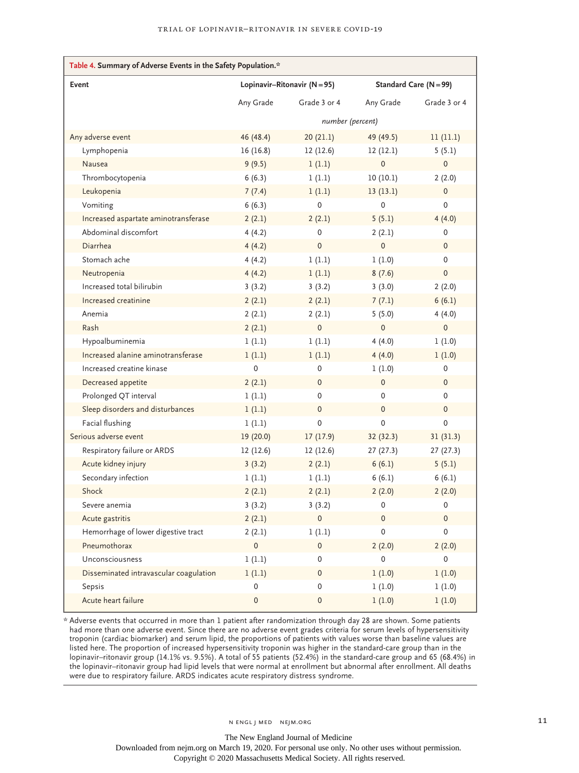| Table 4. Summary of Adverse Events in the Safety Population.* |                            |                     |                            |                     |  |
|---------------------------------------------------------------|----------------------------|---------------------|----------------------------|---------------------|--|
| Event                                                         | Lopinavir-Ritonavir (N=95) |                     | Standard Care ( $N = 99$ ) |                     |  |
|                                                               | Any Grade                  | Grade 3 or 4        | Any Grade                  | Grade 3 or 4        |  |
|                                                               | number (percent)           |                     |                            |                     |  |
| Any adverse event                                             | 46 (48.4)                  | 20(21.1)            | 49 (49.5)                  | 11(11.1)            |  |
| Lymphopenia                                                   | 16 (16.8)                  | 12(12.6)            | 12(12.1)                   | 5(5.1)              |  |
| <b>Nausea</b>                                                 | 9(9.5)                     | 1(1.1)              | 0                          | 0                   |  |
| Thrombocytopenia                                              | 6(6.3)                     | 1(1.1)              | 10(10.1)                   | 2(2.0)              |  |
| Leukopenia                                                    | 7(7.4)                     | 1(1.1)              | 13(13.1)                   | $\mathbf 0$         |  |
| Vomiting                                                      | 6(6.3)                     | 0                   | $\mathbf 0$                | 0                   |  |
| Increased aspartate aminotransferase                          | 2(2.1)                     | 2(2.1)              | 5(5.1)                     | 4(4.0)              |  |
| Abdominal discomfort                                          | 4(4.2)                     | $\mathbf 0$         | 2(2.1)                     | 0                   |  |
| Diarrhea                                                      | 4(4.2)                     | $\mathbf 0$         | $\mathbf 0$                | $\mathbf{0}$        |  |
| Stomach ache                                                  | 4(4.2)                     | 1(1.1)              | 1(1.0)                     | 0                   |  |
| Neutropenia                                                   | 4(4.2)                     | 1(1.1)              | 8(7.6)                     | $\mathbf 0$         |  |
| Increased total bilirubin                                     | 3(3.2)                     | 3(3.2)              | 3(3.0)                     | 2(2.0)              |  |
| Increased creatinine                                          | 2(2.1)                     | 2(2.1)              | 7(7.1)                     | 6(6.1)              |  |
| Anemia                                                        | 2(2.1)                     | 2(2.1)              | 5(5.0)                     | 4(4.0)              |  |
| Rash                                                          | 2(2.1)                     | $\mathbf 0$         | $\mathbf 0$                | $\mathbf 0$         |  |
| Hypoalbuminemia                                               | 1(1.1)                     | 1(1.1)              | 4(4.0)                     | 1(1.0)              |  |
| Increased alanine aminotransferase                            | 1(1.1)                     | 1(1.1)              | 4(4.0)                     | 1(1.0)              |  |
| Increased creatine kinase                                     | 0                          | 0                   | 1(1.0)                     | 0                   |  |
| Decreased appetite                                            | 2(2.1)                     | $\mathbf 0$         | $\pmb{0}$                  | $\mathbf{0}$        |  |
| Prolonged QT interval                                         | 1(1.1)                     | $\mathbf 0$         | 0                          | 0                   |  |
| Sleep disorders and disturbances                              | 1(1.1)                     | $\pmb{0}$           | $\mathsf{O}\xspace$        | $\mathbf 0$         |  |
| Facial flushing                                               | 1(1.1)                     | $\mathbf 0$         | 0                          | 0                   |  |
| Serious adverse event                                         | 19 (20.0)                  | 17(17.9)            | 32 (32.3)                  | 31(31.3)            |  |
| Respiratory failure or ARDS                                   | 12 (12.6)                  | 12(12.6)            | 27(27.3)                   | 27(27.3)            |  |
| Acute kidney injury                                           | 3(3.2)                     | 2(2.1)              | 6(6.1)                     | 5(5.1)              |  |
| Secondary infection                                           | 1(1.1)                     | 1(1.1)              | 6(6.1)                     | 6(6.1)              |  |
| Shock                                                         | 2(2.1)                     | 2(2.1)              | 2(2.0)                     | 2(2.0)              |  |
| Severe anemia                                                 | 3(3.2)                     | 3(3.2)              | 0                          | 0                   |  |
| Acute gastritis                                               | 2(2.1)                     | $\mathsf{O}\xspace$ | $\pmb{0}$                  | $\mathsf{O}\xspace$ |  |
| Hemorrhage of lower digestive tract                           | 2(2.1)                     | 1(1.1)              | 0                          | 0                   |  |
| Pneumothorax                                                  | $\pmb{0}$                  | 0                   | 2(2.0)                     | 2(2.0)              |  |
| Unconsciousness                                               | 1(1.1)                     | 0                   | $\mathsf{O}\xspace$        | 0                   |  |
| Disseminated intravascular coagulation                        | 1(1.1)                     | $\pmb{0}$           | 1(1.0)                     | 1(1.0)              |  |
| Sepsis                                                        | 0                          | $\pmb{0}$           | 1(1.0)                     | 1(1.0)              |  |
| Acute heart failure                                           | $\pmb{0}$                  | $\pmb{0}$           | 1(1.0)                     | 1(1.0)              |  |

\* Adverse events that occurred in more than 1 patient after randomization through day 28 are shown. Some patients had more than one adverse event. Since there are no adverse event grades criteria for serum levels of hypersensitivity troponin (cardiac biomarker) and serum lipid, the proportions of patients with values worse than baseline values are listed here. The proportion of increased hypersensitivity troponin was higher in the standard-care group than in the lopinavir–ritonavir group (14.1% vs. 9.5%). A total of 55 patients (52.4%) in the standard-care group and 65 (68.4%) in the lopinavir–ritonavir group had lipid levels that were normal at enrollment but abnormal after enrollment. All deaths were due to respiratory failure. ARDS indicates acute respiratory distress syndrome.

The New England Journal of Medicine Downloaded from nejm.org on March 19, 2020. For personal use only. No other uses without permission.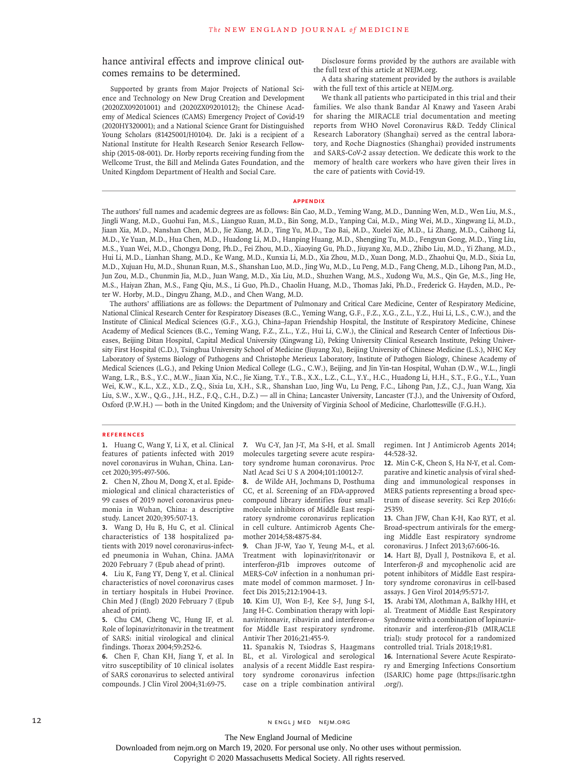# hance antiviral effects and improve clinical outcomes remains to be determined.

Supported by grants from Major Projects of National Science and Technology on New Drug Creation and Development (2020ZX09201001) and (2020ZX09201012); the Chinese Academy of Medical Sciences (CAMS) Emergency Project of Covid-19 (2020HY320001); and a National Science Grant for Distinguished Young Scholars (81425001/H0104). Dr. Jaki is a recipient of a National Institute for Health Research Senior Research Fellowship (2015-08-001). Dr. Horby reports receiving funding from the Wellcome Trust, the Bill and Melinda Gates Foundation, and the United Kingdom Department of Health and Social Care.

Disclosure forms provided by the authors are available with the full text of this article at NEJM.org.

A data sharing statement provided by the authors is available with the full text of this article at NEJM.org.

We thank all patients who participated in this trial and their families. We also thank Bandar Al Knawy and Yaseen Arabi for sharing the MIRACLE trial documentation and meeting reports from WHO Novel Coronavirus R&D. Teddy Clinical Research Laboratory (Shanghai) served as the central laboratory, and Roche Diagnostics (Shanghai) provided instruments and SARS-CoV-2 assay detection. We dedicate this work to the memory of health care workers who have given their lives in the care of patients with Covid-19.

#### **Appendix**

The authors' full names and academic degrees are as follows: Bin Cao, M.D., Yeming Wang, M.D., Danning Wen, M.D., Wen Liu, M.S., Jingli Wang, M.D., Guohui Fan, M.S., Lianguo Ruan, M.D., Bin Song, M.D., Yanping Cai, M.D., Ming Wei, M.D., Xingwang Li, M.D., Jiaan Xia, M.D., Nanshan Chen, M.D., Jie Xiang, M.D., Ting Yu, M.D., Tao Bai, M.D., Xuelei Xie, M.D., Li Zhang, M.D., Caihong Li, M.D., Ye Yuan, M.D., Hua Chen, M.D., Huadong Li, M.D., Hanping Huang, M.D., Shengjing Tu, M.D., Fengyun Gong, M.D., Ying Liu, M.S., Yuan Wei, M.D., Chongya Dong, Ph.D., Fei Zhou, M.D., Xiaoying Gu, Ph.D., Jiuyang Xu, M.D., Zhibo Liu, M.D., Yi Zhang, M.D., Hui Li, M.D., Lianhan Shang, M.D., Ke Wang, M.D., Kunxia Li, M.D., Xia Zhou, M.D., Xuan Dong, M.D., Zhaohui Qu, M.D., Sixia Lu, M.D., Xujuan Hu, M.D., Shunan Ruan, M.S., Shanshan Luo, M.D., Jing Wu, M.D., Lu Peng, M.D., Fang Cheng, M.D., Lihong Pan, M.D., Jun Zou, M.D., Chunmin Jia, M.D., Juan Wang, M.D., Xia Liu, M.D., Shuzhen Wang, M.S., Xudong Wu, M.S., Qin Ge, M.S., Jing He, M.S., Haiyan Zhan, M.S., Fang Qiu, M.S., Li Guo, Ph.D., Chaolin Huang, M.D., Thomas Jaki, Ph.D., Frederick G. Hayden, M.D., Peter W. Horby, M.D., Dingyu Zhang, M.D., and Chen Wang, M.D.

The authors' affiliations are as follows: the Department of Pulmonary and Critical Care Medicine, Center of Respiratory Medicine, National Clinical Research Center for Respiratory Diseases (B.C., Yeming Wang, G.F., F.Z., X.G., Z.L., Y.Z., Hui Li, L.S., C.W.), and the Institute of Clinical Medical Sciences (G.F., X.G.), China–Japan Friendship Hospital, the Institute of Respiratory Medicine, Chinese Academy of Medical Sciences (B.C., Yeming Wang, F.Z., Z.L., Y.Z., Hui Li, C.W.), the Clinical and Research Center of Infectious Diseases, Beijing Ditan Hospital, Capital Medical University (Xingwang Li), Peking University Clinical Research Institute, Peking University First Hospital (C.D.), Tsinghua University School of Medicine (Jiuyang Xu), Beijing University of Chinese Medicine (L.S.), NHC Key Laboratory of Systems Biology of Pathogens and Christophe Merieux Laboratory, Institute of Pathogen Biology, Chinese Academy of Medical Sciences (L.G.), and Peking Union Medical College (L.G., C.W.), Beijing, and Jin Yin-tan Hospital, Wuhan (D.W., W.L., Jingli Wang, L.R., B.S., Y.C., M.W., Jiaan Xia, N.C., Jie Xiang, T.Y., T.B., X.X., L.Z., C.L., Y.Y., H.C., Huadong Li, H.H., S.T., F.G., Y.L., Yuan Wei, K.W., K.L., X.Z., X.D., Z.Q., Sixia Lu, X.H., S.R., Shanshan Luo, Jing Wu, Lu Peng, F.C., Lihong Pan, J.Z., C.J., Juan Wang, Xia Liu, S.W., X.W., Q.G., J.H., H.Z., F.Q., C.H., D.Z.) — all in China; Lancaster University, Lancaster (T.J.), and the University of Oxford, Oxford (P.W.H.) — both in the United Kingdom; and the University of Virginia School of Medicine, Charlottesville (F.G.H.).

#### **References**

**1.** Huang C, Wang Y, Li X, et al. Clinical features of patients infected with 2019 novel coronavirus in Wuhan, China. Lancet 2020;395:497-506.

**2.** Chen N, Zhou M, Dong X, et al. Epidemiological and clinical characteristics of 99 cases of 2019 novel coronavirus pneumonia in Wuhan, China: a descriptive study. Lancet 2020;395:507-13.

**3.** Wang D, Hu B, Hu C, et al. Clinical characteristics of 138 hospitalized patients with 2019 novel coronavirus-infected pneumonia in Wuhan, China. JAMA 2020 February 7 (Epub ahead of print).

**4.** Liu K, Fang YY, Deng Y, et al. Clinical characteristics of novel coronavirus cases in tertiary hospitals in Hubei Province. Chin Med J (Engl) 2020 February 7 (Epub ahead of print).

**5.** Chu CM, Cheng VC, Hung IF, et al. Role of lopinavir/ritonavir in the treatment of SARS: initial virological and clinical findings. Thorax 2004;59:252-6.

**6.** Chen F, Chan KH, Jiang Y, et al. In vitro susceptibility of 10 clinical isolates of SARS coronavirus to selected antiviral compounds. J Clin Virol 2004;31:69-75.

**7.** Wu C-Y, Jan J-T, Ma S-H, et al. Small molecules targeting severe acute respiratory syndrome human coronavirus. Proc Natl Acad Sci U S A 2004;101:10012-7.

**8.** de Wilde AH, Jochmans D, Posthuma CC, et al. Screening of an FDA-approved compound library identifies four smallmolecule inhibitors of Middle East respiratory syndrome coronavirus replication in cell culture. Antimicrob Agents Chemother 2014;58:4875-84.

**9.** Chan JF-W, Yao Y, Yeung M-L, et al. Treatment with lopinavir/ritonavir or interferon-β1b improves outcome of MERS-CoV infection in a nonhuman primate model of common marmoset. J Infect Dis 2015;212:1904-13.

**10.** Kim UJ, Won E-J, Kee S-J, Jung S-I, Jang H-C. Combination therapy with lopinavir/ritonavir, ribavirin and interferon-α for Middle East respiratory syndrome. Antivir Ther 2016;21:455-9.

**11.** Spanakis N, Tsiodras S, Haagmans BL, et al. Virological and serological analysis of a recent Middle East respiratory syndrome coronavirus infection case on a triple combination antiviral regimen. Int J Antimicrob Agents 2014; 44:528-32.

**12.** Min C-K, Cheon S, Ha N-Y, et al. Comparative and kinetic analysis of viral shedding and immunological responses in MERS patients representing a broad spectrum of disease severity. Sci Rep 2016;6: 25359.

**13.** Chan JFW, Chan K-H, Kao RYT, et al. Broad-spectrum antivirals for the emerging Middle East respiratory syndrome coronavirus. J Infect 2013;67:606-16.

**14.** Hart BJ, Dyall J, Postnikova E, et al. Interferon-β and mycophenolic acid are potent inhibitors of Middle East respiratory syndrome coronavirus in cell-based assays. J Gen Virol 2014;95:571-7.

**15.** Arabi YM, Alothman A, Balkhy HH, et al. Treatment of Middle East Respiratory Syndrome with a combination of lopinavirritonavir and interferon-β1b (MIRACLE trial): study protocol for a randomized controlled trial. Trials 2018;19:81.

**16.** International Severe Acute Respiratory and Emerging Infections Consortium (ISARIC) home page (https://isaric.tghn .org/).

12 N ENGL J MED NEIM.ORG